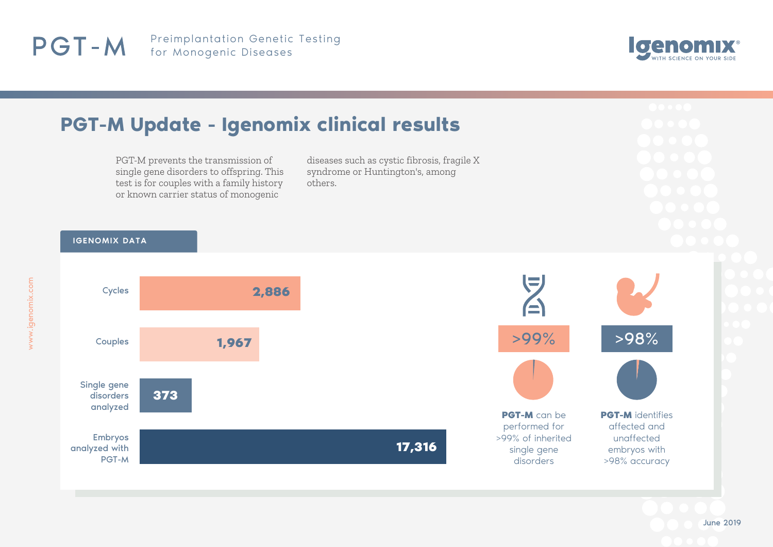